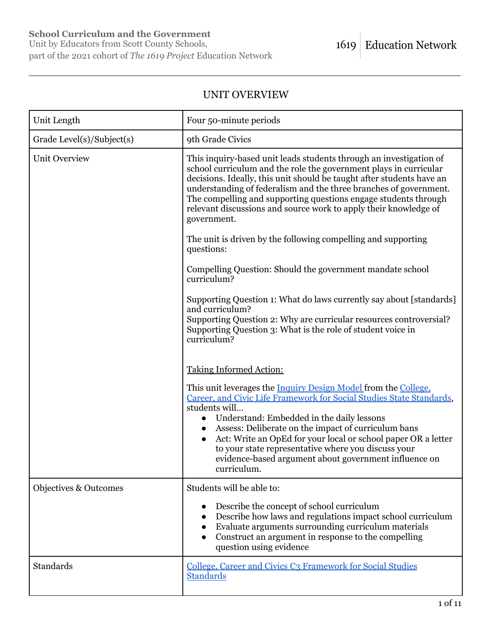# **School Curriculum and the Government**

# UNIT OVERVIEW

| Unit Length                      | Four 50-minute periods                                                                                                                                                                                                                                                                                                                                                                                                                                                   |
|----------------------------------|--------------------------------------------------------------------------------------------------------------------------------------------------------------------------------------------------------------------------------------------------------------------------------------------------------------------------------------------------------------------------------------------------------------------------------------------------------------------------|
| Grade Level(s)/Subject(s)        | 9th Grade Civics                                                                                                                                                                                                                                                                                                                                                                                                                                                         |
| <b>Unit Overview</b>             | This inquiry-based unit leads students through an investigation of<br>school curriculum and the role the government plays in curricular<br>decisions. Ideally, this unit should be taught after students have an<br>understanding of federalism and the three branches of government.<br>The compelling and supporting questions engage students through<br>relevant discussions and source work to apply their knowledge of<br>government.                              |
|                                  | The unit is driven by the following compelling and supporting<br>questions:                                                                                                                                                                                                                                                                                                                                                                                              |
|                                  | Compelling Question: Should the government mandate school<br>curriculum?                                                                                                                                                                                                                                                                                                                                                                                                 |
|                                  | Supporting Question 1: What do laws currently say about [standards]<br>and curriculum?<br>Supporting Question 2: Why are curricular resources controversial?<br>Supporting Question 3: What is the role of student voice in<br>curriculum?                                                                                                                                                                                                                               |
|                                  | <b>Taking Informed Action:</b>                                                                                                                                                                                                                                                                                                                                                                                                                                           |
|                                  | This unit leverages the Inquiry Design Model from the College.<br>Career, and Civic Life Framework for Social Studies State Standards,<br>students will<br>Understand: Embedded in the daily lessons<br>Assess: Deliberate on the impact of curriculum bans<br>Act: Write an OpEd for your local or school paper OR a letter<br>$\bullet$<br>to your state representative where you discuss your<br>evidence-based argument about government influence on<br>curriculum. |
| <b>Objectives &amp; Outcomes</b> | Students will be able to:                                                                                                                                                                                                                                                                                                                                                                                                                                                |
|                                  | Describe the concept of school curriculum<br>Describe how laws and regulations impact school curriculum<br>Evaluate arguments surrounding curriculum materials<br>Construct an argument in response to the compelling<br>question using evidence                                                                                                                                                                                                                         |
| Standards                        | College, Career and Civics C3 Framework for Social Studies<br><b>Standards</b>                                                                                                                                                                                                                                                                                                                                                                                           |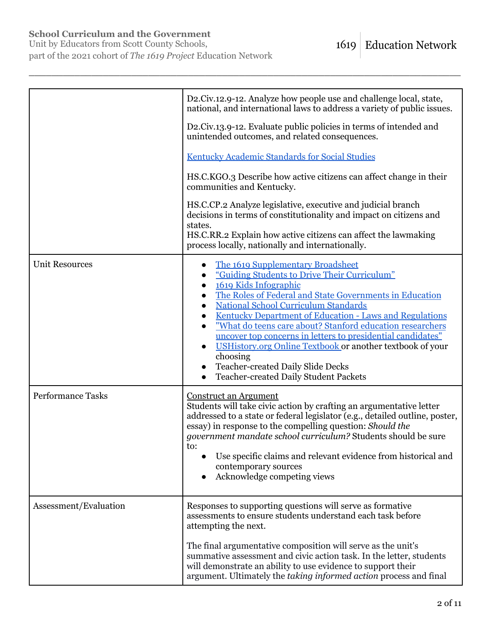# **School Curriculum and the Government**

Unit by Educators from Scott County Schools, part of the 2021 cohort of *The 1619 Project* Education Network

|                          | D2.Civ.12.9-12. Analyze how people use and challenge local, state,<br>national, and international laws to address a variety of public issues.                                                                                                                                                                                                                                                                                                                                                                                                                                                       |
|--------------------------|-----------------------------------------------------------------------------------------------------------------------------------------------------------------------------------------------------------------------------------------------------------------------------------------------------------------------------------------------------------------------------------------------------------------------------------------------------------------------------------------------------------------------------------------------------------------------------------------------------|
|                          | D2.Civ.13.9-12. Evaluate public policies in terms of intended and<br>unintended outcomes, and related consequences.                                                                                                                                                                                                                                                                                                                                                                                                                                                                                 |
|                          | <b>Kentucky Academic Standards for Social Studies</b>                                                                                                                                                                                                                                                                                                                                                                                                                                                                                                                                               |
|                          | HS.C.KGO.3 Describe how active citizens can affect change in their<br>communities and Kentucky.                                                                                                                                                                                                                                                                                                                                                                                                                                                                                                     |
|                          | HS.C.CP.2 Analyze legislative, executive and judicial branch<br>decisions in terms of constitutionality and impact on citizens and<br>states.<br>HS.C.RR.2 Explain how active citizens can affect the lawmaking<br>process locally, nationally and internationally.                                                                                                                                                                                                                                                                                                                                 |
| <b>Unit Resources</b>    | The 1619 Supplementary Broadsheet<br>"Guiding Students to Drive Their Curriculum"<br>1619 Kids Infographic<br>The Roles of Federal and State Governments in Education<br><b>National School Curriculum Standards</b><br>$\bullet$<br>Kentucky Department of Education - Laws and Regulations<br>$\bullet$<br>"What do teens care about? Stanford education researchers<br>uncover top concerns in letters to presidential candidates"<br>USHistory.org Online Textbook or another textbook of your<br>choosing<br><b>Teacher-created Daily Slide Decks</b><br>Teacher-created Daily Student Packets |
| <b>Performance Tasks</b> | <b>Construct an Argument</b><br>Students will take civic action by crafting an argumentative letter<br>addressed to a state or federal legislator (e.g., detailed outline, poster,<br>essay) in response to the compelling question: Should the<br>government mandate school curriculum? Students should be sure<br>to:<br>Use specific claims and relevant evidence from historical and<br>contemporary sources<br>Acknowledge competing views                                                                                                                                                     |
| Assessment/Evaluation    | Responses to supporting questions will serve as formative<br>assessments to ensure students understand each task before<br>attempting the next.                                                                                                                                                                                                                                                                                                                                                                                                                                                     |
|                          | The final argumentative composition will serve as the unit's<br>summative assessment and civic action task. In the letter, students<br>will demonstrate an ability to use evidence to support their<br>argument. Ultimately the taking informed action process and final                                                                                                                                                                                                                                                                                                                            |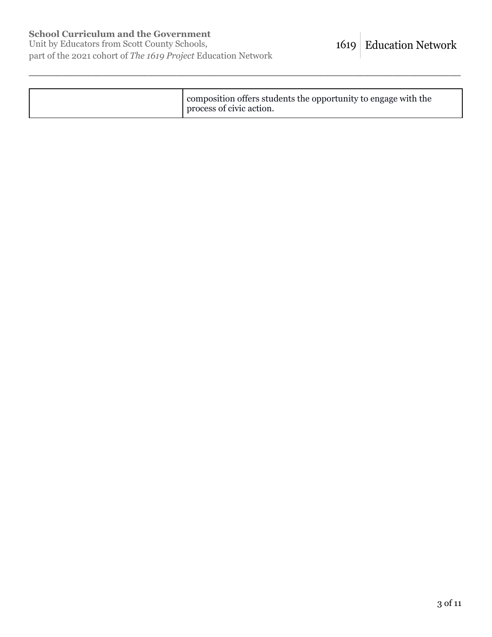|  | I composition offers students the opportunity to engage with the<br>process of civic action. |
|--|----------------------------------------------------------------------------------------------|
|--|----------------------------------------------------------------------------------------------|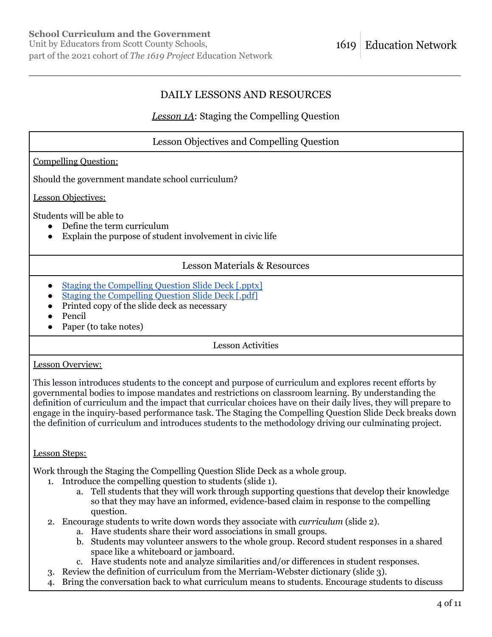# DAILY LESSONS AND RESOURCES

\_\_\_\_\_\_\_\_\_\_\_\_\_\_\_\_\_\_\_\_\_\_\_\_\_\_\_\_\_\_\_\_\_\_\_\_\_\_\_\_\_\_\_\_\_\_\_\_\_\_\_\_\_\_\_\_\_\_\_\_\_\_\_\_\_\_\_\_\_\_\_\_\_\_\_\_

# *Lesson 1A*: Staging the Compelling Question

| <b>Lesson Objectives and Compelling Question</b>                                                                                                                                                        |  |  |
|---------------------------------------------------------------------------------------------------------------------------------------------------------------------------------------------------------|--|--|
| <b>Compelling Question:</b>                                                                                                                                                                             |  |  |
| Should the government mandate school curriculum?                                                                                                                                                        |  |  |
| Lesson Objectives:                                                                                                                                                                                      |  |  |
| Students will be able to<br>Define the term curriculum<br>Explain the purpose of student involvement in civic life<br>$\bullet$                                                                         |  |  |
| <b>Lesson Materials &amp; Resources</b>                                                                                                                                                                 |  |  |
| <b>Staging the Compelling Question Slide Deck [.pptx]</b><br><b>Staging the Compelling Question Slide Deck [.pdf]</b><br>Printed copy of the slide deck as necessary<br>Pencil<br>Paper (to take notes) |  |  |
| <b>Lesson Activities</b>                                                                                                                                                                                |  |  |
| <b>Lesson Overview:</b>                                                                                                                                                                                 |  |  |
| This lesson introduces students to the concept and purpose of curriculum and explores recent efforts by                                                                                                 |  |  |

governmental bodies to impose mandates and restrictions on classroom learning. By understanding the definition of curriculum and the impact that curricular choices have on their daily lives, they will prepare to engage in the inquiry-based performance task. The Staging the Compelling Question Slide Deck breaks down the definition of curriculum and introduces students to the methodology driving our culminating project.

## Lesson Steps:

Work through the Staging the Compelling Question Slide Deck as a whole group.

- 1. Introduce the compelling question to students (slide 1).
	- a. Tell students that they will work through supporting questions that develop their knowledge so that they may have an informed, evidence-based claim in response to the compelling question.
- 2. Encourage students to write down words they associate with *curriculum* (slide 2).
	- a. Have students share their word associations in small groups.
	- b. Students may volunteer answers to the whole group. Record student responses in a shared space like a whiteboard or jamboard.
	- c. Have students note and analyze similarities and/or differences in student responses.
- 3. Review the definition of curriculum from the Merriam-Webster dictionary (slide 3).
- 4. Bring the conversation back to what curriculum means to students. Encourage students to discuss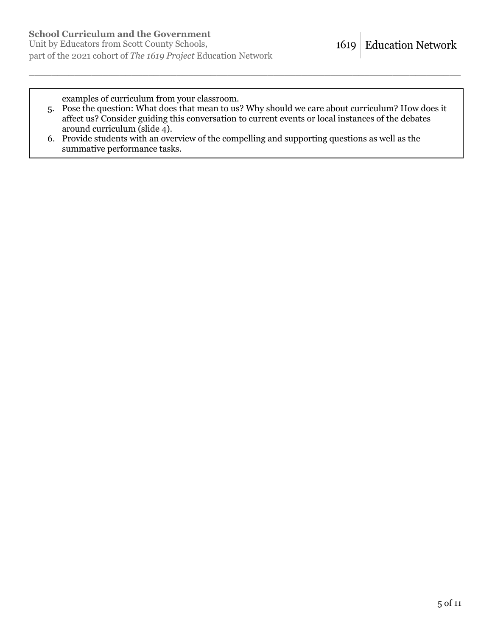examples of curriculum from your classroom.

5. Pose the question: What does that mean to us? Why should we care about curriculum? How does it affect us? Consider guiding this conversation to current events or local instances of the debates around curriculum (slide 4).

\_\_\_\_\_\_\_\_\_\_\_\_\_\_\_\_\_\_\_\_\_\_\_\_\_\_\_\_\_\_\_\_\_\_\_\_\_\_\_\_\_\_\_\_\_\_\_\_\_\_\_\_\_\_\_\_\_\_\_\_\_\_\_\_\_\_\_\_\_\_\_\_\_\_\_\_

6. Provide students with an overview of the compelling and supporting questions as well as the summative performance tasks.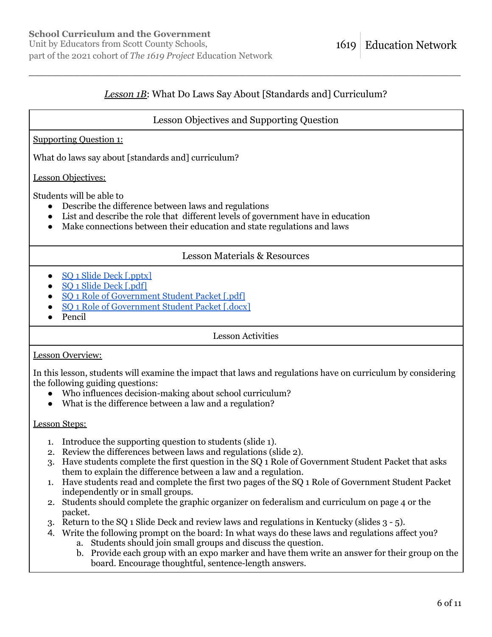# *Lesson 1B*: What Do Laws Say About [Standards and] Curriculum?

\_\_\_\_\_\_\_\_\_\_\_\_\_\_\_\_\_\_\_\_\_\_\_\_\_\_\_\_\_\_\_\_\_\_\_\_\_\_\_\_\_\_\_\_\_\_\_\_\_\_\_\_\_\_\_\_\_\_\_\_\_\_\_\_\_\_\_\_\_\_\_\_\_\_\_\_

## Lesson Objectives and Supporting Question

#### Supporting Question 1:

What do laws say about [standards and] curriculum?

Lesson Objectives:

Students will be able to

- Describe the difference between laws and regulations
- List and describe the role that different levels of government have in education
- Make connections between their education and state regulations and laws

## Lesson Materials & Resources

- SO<sub>1</sub> Slide Deck [.pptx]
- SO 1 Slide Deck [.pdf]
- SO<sub>1</sub> Role of Government Student Packet [.pdf]
- SO<sub>1</sub> Role of Government Student Packet Ldocx
- Pencil

Lesson Activities

#### Lesson Overview:

In this lesson, students will examine the impact that laws and regulations have on curriculum by considering the following guiding questions:

- Who influences decision-making about school curriculum?
- What is the difference between a law and a regulation?

#### Lesson Steps:

- 1. Introduce the supporting question to students (slide 1).
- 2. Review the differences between laws and regulations (slide 2).
- 3. Have students complete the first question in the SQ 1 Role of Government Student Packet that asks them to explain the difference between a law and a regulation.
- 1. Have students read and complete the first two pages of the SQ 1 Role of Government Student Packet independently or in small groups.
- 2. Students should complete the graphic organizer on federalism and curriculum on page 4 or the packet.
- 3. Return to the SQ 1 Slide Deck and review laws and regulations in Kentucky (slides 3 5).
- 4. Write the following prompt on the board: In what ways do these laws and regulations affect you?
	- a. Students should join small groups and discuss the question.
	- b. Provide each group with an expo marker and have them write an answer for their group on the board. Encourage thoughtful, sentence-length answers.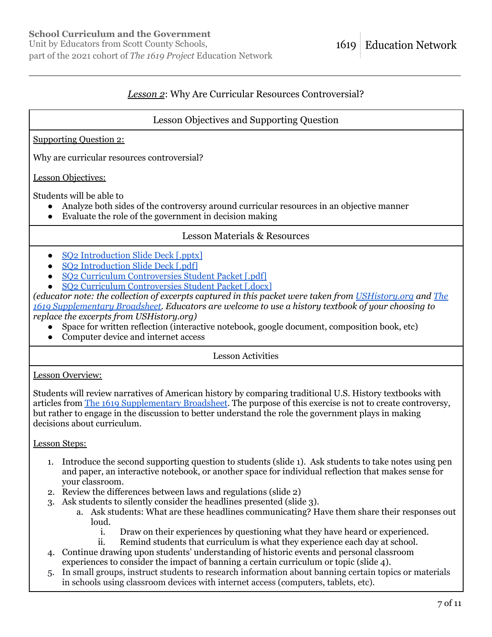Unit by Educators from Scott County Schools, part of the 2021 cohort of *The 1619 Project* Education Network

# *Lesson 2*: Why Are Curricular Resources Controversial?

\_\_\_\_\_\_\_\_\_\_\_\_\_\_\_\_\_\_\_\_\_\_\_\_\_\_\_\_\_\_\_\_\_\_\_\_\_\_\_\_\_\_\_\_\_\_\_\_\_\_\_\_\_\_\_\_\_\_\_\_\_\_\_\_\_\_\_\_\_\_\_\_\_\_\_\_

## Lesson Objectives and Supporting Question

### Supporting Question 2:

Why are curricular resources controversial?

### Lesson Objectives:

Students will be able to

- Analyze both sides of the controversy around curricular resources in an objective manner
- Evaluate the role of the government in decision making

## Lesson Materials & Resources

- [SQ2 Introduction Slide Deck \[.pptx\]](https://pulitzercenter.org/sites/default/files/inline-images/psGPUJ14Tj53iaiIxpkxJEytgOEASvSP6REt1cEWeo6qdtROBJ.pptx)
- [SQ2 Introduction Slide Deck \[.pdf\]](https://pulitzercenter.org/sites/default/files/inline-images/lQHvqcsrCTZQC8LXJezcIMCGzKxGTaZoFPznvueDy1BP1eEAGV.pdf)
- [SQ2 Curriculum Controversies Student Packet \[.pdf\]](https://pulitzercenter.org/sites/default/files/inline-images/z9OKZE8DxW65N2nMAEfwHlZEoXln4DCXc7lUBjWYEQv8r3GjNL.pdf)
- [SQ2 Curriculum Controversies Student Packet \[.docx\]](https://pulitzercenter.org/sites/default/files/inline-images/g8aMqUp9QChcVkSx3QU8ls5qaFaCj5JW7bwWazc9TQ6gz13uSA.docx)

*(educator note: the collection of excerpts captured in this packet were taken from [USHistory.org](http://ushistory.org) and [The](https://pulitzercenter.org/sites/default/files/18maglabs_1619_issue_shipped_0.pdf) [1619 Supplementary Broadsheet.](https://pulitzercenter.org/sites/default/files/18maglabs_1619_issue_shipped_0.pdf) Educators are welcome to use a history textbook of your choosing to replace the excerpts from USHistory.org)*

- Space for written reflection (interactive notebook, google document, composition book, etc)
- Computer device and internet access

Lesson Activities

## Lesson Overview:

Students will review narratives of American history by comparing traditional U.S. History textbooks with articles from [The 1619 Supplementary Broadsheet](https://pulitzercenter.org/sites/default/files/18maglabs_1619_issue_shipped_0.pdf). The purpose of this exercise is not to create controversy, but rather to engage in the discussion to better understand the role the government plays in making decisions about curriculum.

#### Lesson Steps:

- 1. Introduce the second supporting question to students (slide 1). Ask students to take notes using pen and paper, an interactive notebook, or another space for individual reflection that makes sense for your classroom.
- 2. Review the differences between laws and regulations (slide 2)
- 3. Ask students to silently consider the headlines presented (slide 3).
	- a. Ask students: What are these headlines communicating? Have them share their responses out loud.
		- i. Draw on their experiences by questioning what they have heard or experienced.
		- ii. Remind students that curriculum is what they experience each day at school.
- 4. Continue drawing upon students' understanding of historic events and personal classroom experiences to consider the impact of banning a certain curriculum or topic (slide 4).
- 5. In small groups, instruct students to research information about banning certain topics or materials in schools using classroom devices with internet access (computers, tablets, etc).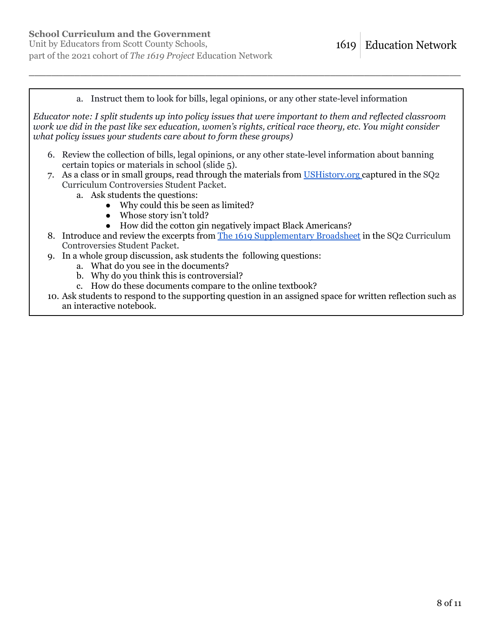## **School Curriculum and the Government**

Unit by Educators from Scott County Schools, part of the 2021 cohort of *The 1619 Project* Education Network

a. Instruct them to look for bills, legal opinions, or any other state-level information

\_\_\_\_\_\_\_\_\_\_\_\_\_\_\_\_\_\_\_\_\_\_\_\_\_\_\_\_\_\_\_\_\_\_\_\_\_\_\_\_\_\_\_\_\_\_\_\_\_\_\_\_\_\_\_\_\_\_\_\_\_\_\_\_\_\_\_\_\_\_\_\_\_\_\_\_

*Educator note: I split students up into policy issues that were important to them and reflected classroom work we did in the past like sex education, women's rights, critical race theory, etc. You might consider what policy issues your students care about to form these groups)*

- 6. Review the collection of bills, legal opinions, or any other state-level information about banning certain topics or materials in school (slide 5).
- 7. As a class or in small groups, read through the materials from [USHistory.org](https://www.ushistory.org/) captured in the SQ2 Curriculum Controversies Student Packet.
	- a. Ask students the questions:
		- Why could this be seen as limited?
		- Whose story isn't told?
		- How did the cotton gin negatively impact Black Americans?
- 8. Introduce and review the excerpts from [The 1619 Supplementary Broadsheet](https://pulitzercenter.org/sites/default/files/18maglabs_1619_issue_shipped_0.pdf) in the SQ2 Curriculum Controversies Student Packet.
- 9. In a whole group discussion, ask students the following questions:
	- a. What do you see in the documents?
	- b. Why do you think this is controversial?
	- c. How do these documents compare to the online textbook?
- 10. Ask students to respond to the supporting question in an assigned space for written reflection such as an interactive notebook.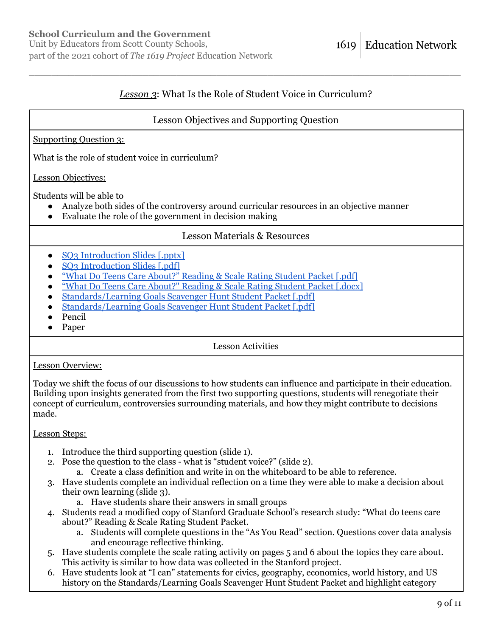# *Lesson 3*: What Is the Role of Student Voice in Curriculum?

\_\_\_\_\_\_\_\_\_\_\_\_\_\_\_\_\_\_\_\_\_\_\_\_\_\_\_\_\_\_\_\_\_\_\_\_\_\_\_\_\_\_\_\_\_\_\_\_\_\_\_\_\_\_\_\_\_\_\_\_\_\_\_\_\_\_\_\_\_\_\_\_\_\_\_\_

# Lesson Objectives and Supporting Question

### Supporting Question 3:

What is the role of student voice in curriculum?

### Lesson Objectives:

Students will be able to

- Analyze both sides of the controversy around curricular resources in an objective manner
- Evaluate the role of the government in decision making

## Lesson Materials & Resources

- [SQ3 Introduction Slides \[.pptx\]](https://pulitzercenter.org/sites/default/files/inline-images/iWdbaSvRbRam0OjWpwh7QXcC9ngMLVyr0DTYuLKdMPEzbWjXWF.pptx)
- [SQ3 Introduction Slides \[.pdf\]](https://pulitzercenter.org/sites/default/files/inline-images/dZpe5kqSWsj7TlIJLE8LLIhP7qzAFPpQylWhukMq9Flg3aOZyG.pdf)
- ["What Do Teens Care About?" Reading & Scale Rating Student Packet \[.pdf\]](https://pulitzercenter.org/sites/default/files/inline-images/dXV9uxbyw6jRPmxrMAckOcL7xJyzptmLJnShuaqLTDOMZuXVd6.pdf)
- ["What Do Teens Care About?" Reading & Scale Rating Student Packet \[.docx\]](https://pulitzercenter.org/sites/default/files/inline-images/hw8IW2gBWZaF5GMLIqXHetvXDLbpdKsrQdQjlVJfkxuA5LEKy6.docx)
- [Standards/Learning Goals Scavenger Hunt Student Packet \[.pdf\]](https://pulitzercenter.org/sites/default/files/inline-images/z0HJHpk2MPp7YIGsktQYOPdMkTnvdLRfYt1K2Zq9wvjIw6L1Dx.pdf)
- [Standards/Learning Goals Scavenger Hunt Student Packet \[.pdf\]](https://pulitzercenter.org/sites/default/files/inline-images/dlhrcrCWUbNFAUjP4uuTkhNHIlnckDqFqBaUZ1eO5CQWz0Xqo6.docx)
- Pencil
- Paper

Lesson Activities

#### Lesson Overview:

Today we shift the focus of our discussions to how students can influence and participate in their education. Building upon insights generated from the first two supporting questions, students will renegotiate their concept of curriculum, controversies surrounding materials, and how they might contribute to decisions made.

## Lesson Steps:

- 1. Introduce the third supporting question (slide 1).
- 2. Pose the question to the class what is "student voice?" (slide 2).
	- a. Create a class definition and write in on the whiteboard to be able to reference.
- 3. Have students complete an individual reflection on a time they were able to make a decision about their own learning (slide 3).
	- a. Have students share their answers in small groups
- 4. Students read a modified copy of Stanford Graduate School's research study: "What do teens care about?" Reading & Scale Rating Student Packet.
	- a. Students will complete questions in the "As You Read" section. Questions cover data analysis and encourage reflective thinking.
- 5. Have students complete the scale rating activity on pages 5 and 6 about the topics they care about. This activity is similar to how data was collected in the Stanford project.
- 6. Have students look at "I can" statements for civics, geography, economics, world history, and US history on the Standards/Learning Goals Scavenger Hunt Student Packet and highlight category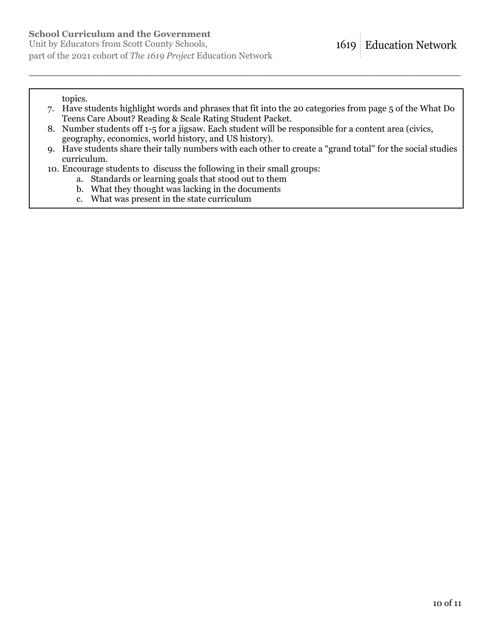Unit by Educators from Scott County Schools, part of the 2021 cohort of *The 1619 Project* Education Network

topics.

- 7. Have students highlight words and phrases that fit into the 20 categories from page 5 of the What Do Teens Care About? Reading & Scale Rating Student Packet.
- 8. Number students off 1-5 for a jigsaw. Each student will be responsible for a content area (civics, geography, economics, world history, and US history).

- 9. Have students share their tally numbers with each other to create a "grand total'' for the social studies curriculum.
- 10. Encourage students to discuss the following in their small groups:
	- a. Standards or learning goals that stood out to them
	- b. What they thought was lacking in the documents
	- c. What was present in the state curriculum